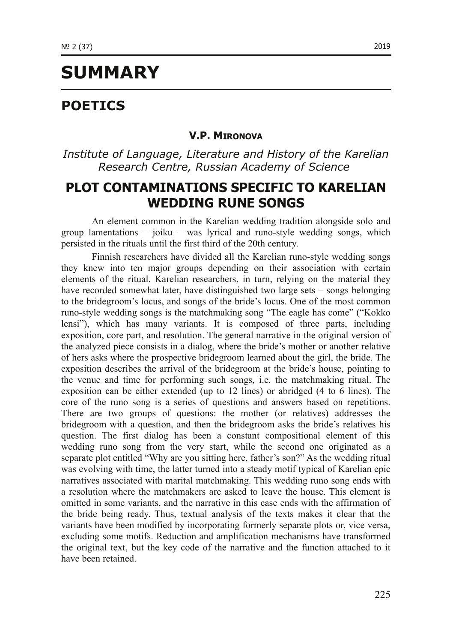# **SUMMARY**

# **POETICS**

#### **V.P. MIRONOVA**

## *Institute of Language, Literature and History of the Karelian Research Centre, Russian Academy of Science*

## **PLOT CONTAMINATIONS SPECIFIC TO KARELIAN WEDDING RUNE SONGS**

An element common in the Karelian wedding tradition alongside solo and group lamentations  $-$  joiku  $-$  was lyrical and runo-style wedding songs, which persisted in the rituals until the first third of the 20th century.

Finnish researchers have divided all the Karelian runo-style wedding songs they knew into ten major groups depending on their association with certain elements of the ritual. Karelian researchers, in turn, relying on the material they have recorded somewhat later, have distinguished two large sets – songs belonging to the bridegroom's locus, and songs of the bride's locus. One of the most common runo-style wedding songs is the matchmaking song "The eagle has come" ("Kokko lensi"), which has many variants. It is composed of three parts, including exposition, core part, and resolution. The general narrative in the original version of the analyzed piece consists in a dialog, where the bride's mother or another relative of hers asks where the prospective bridegroom learned about the girl, the bride. The exposition describes the arrival of the bridegroom at the bride's house, pointing to the venue and time for performing such songs, i.e. the matchmaking ritual. The exposition can be either extended (up to 12 lines) or abridged (4 to 6 lines). The core of the runo song is a series of questions and answers based on repetitions. There are two groups of questions: the mother (or relatives) addresses the bridegroom with a question, and then the bridegroom asks the bride's relatives his question. The first dialog has been a constant compositional element of this wedding runo song from the very start, while the second one originated as a separate plot entitled "Why are you sitting here, father's son?" As the wedding ritual was evolving with time, the latter turned into a steady motif typical of Karelian epic narratives associated with marital matchmaking. This wedding runo song ends with a resolution where the matchmakers are asked to leave the house. This element is omitted in some variants, and the narrative in this case ends with the affirmation of the bride being ready. Thus, textual analysis of the texts makes it clear that the variants have been modified by incorporating formerly separate plots or, vice versa, excluding some motifs. Reduction and amplification mechanisms have transformed the original text, but the key code of the narrative and the function attached to it have been retained.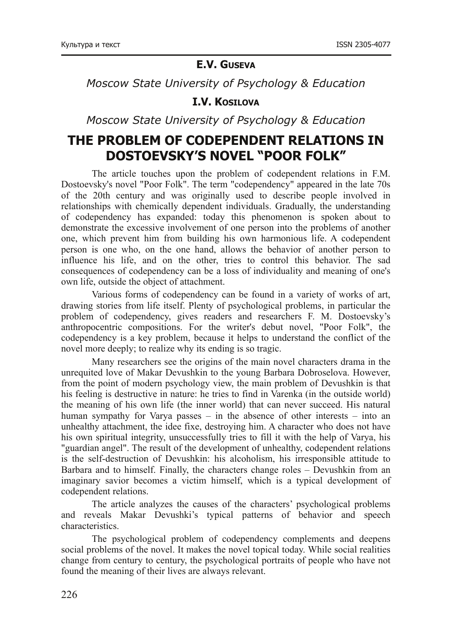#### **E.V. GUSEVA**

*Moscow State University of Psychology & Education*

#### **I.V. KOSILOVA**

*Moscow State University of Psychology & Education*

## **THE PROBLEM OF CODEPENDENT RELATIONS IN DOSTOEVSKY'S NOVEL "POOR FOLK"**

The article touches upon the problem of codependent relations in F.M. Dostoevsky's novel "Poor Folk". The term "codependency" appeared in the late 70s of the 20th century and was originally used to describe people involved in relationships with chemically dependent individuals. Gradually, the understanding of codependency has expanded: today this phenomenon is spoken about to demonstrate the excessive involvement of one person into the problems of another one, which prevent him from building his own harmonious life. A codependent person is one who, on the one hand, allows the behavior of another person to influence his life, and on the other, tries to control this behavior. The sad consequences of codependency can be a loss of individuality and meaning of one's own life, outside the object of attachment.

Various forms of codependency can be found in a variety of works of art, drawing stories from life itself. Plenty of psychological problems, in particular the problem of codependency, gives readers and researchers F. M. Dostoevsky's anthropocentric compositions. For the writer's debut novel, "Poor Folk", the codependency is a key problem, because it helps to understand the conflict of the novel more deeply; to realize why its ending is so tragic.

Many researchers see the origins of the main novel characters drama in the unrequited love of Makar Devushkin to the young Barbara Dobroselova. However, from the point of modern psychology view, the main problem of Devushkin is that his feeling is destructive in nature: he tries to find in Varenka (in the outside world) the meaning of his own life (the inner world) that can never succeed. His natural human sympathy for Varya passes – in the absence of other interests – into an unhealthy attachment, the idee fixe, destroying him. A character who does not have his own spiritual integrity, unsuccessfully tries to fill it with the help of Varya, his "guardian angel". The result of the development of unhealthy, codependent relations is the self-destruction of Devushkin: his alcoholism, his irresponsible attitude to Barbara and to himself. Finally, the characters change roles – Devushkin from an imaginary savior becomes a victim himself, which is a typical development of codependent relations.

The article analyzes the causes of the characters' psychological problems and reveals Makar Devushki's typical patterns of behavior and speech characteristics.

The psychological problem of codependency complements and deepens social problems of the novel. It makes the novel topical today. While social realities change from century to century, the psychological portraits of people who have not found the meaning of their lives are always relevant.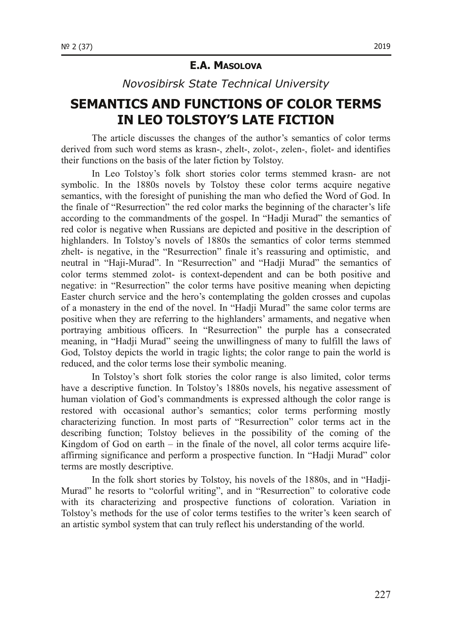#### **E.A. MASOLOVA**

*Novosibirsk State Technical University*

# **SEMANTICS AND FUNCTIONS OF COLOR TERMS IN LEO TOLSTOY'S LATE FICTION**

The article discusses the changes of the author's semantics of color terms derived from such word stems as krasn-, zhelt-, zolot-, zelen-, fiolet- and identifies their functions on the basis of the later fiction by Tolstoy.

In Leo Tolstoy's folk short stories color terms stemmed krasn- are not symbolic. In the 1880s novels by Tolstoy these color terms acquire negative semantics, with the foresight of punishing the man who defied the Word of God. In the finale of "Resurrection" the red color marks the beginning of the character's life according to the commandments of the gospel. In "Hadji Murad" the semantics of red color is negative when Russians are depicted and positive in the description of highlanders. In Tolstoy's novels of 1880s the semantics of color terms stemmed zhelt- is negative, in the "Resurrection" finale it's reassuring and optimistic, and neutral in "Haji-Murad". In "Resurrection" and "Hadji Murad" the semantics of color terms stemmed zolot- is context-dependent and can be both positive and negative: in "Resurrection" the color terms have positive meaning when depicting Easter church service and the hero's contemplating the golden crosses and cupolas of a monastery in the end of the novel. In "Hadji Murad" the same color terms are positive when they are referring to the highlanders' armaments, and negative when portraying ambitious officers. In "Resurrection" the purple has a consecrated meaning, in "Hadji Murad" seeing the unwillingness of many to fulfill the laws of God, Tolstoy depicts the world in tragic lights; the color range to pain the world is reduced, and the color terms lose their symbolic meaning.

In Tolstoy's short folk stories the color range is also limited, color terms have a descriptive function. In Tolstoy's 1880s novels, his negative assessment of human violation of God's commandments is expressed although the color range is restored with occasional author's semantics; color terms performing mostly characterizing function. In most parts of "Resurrection" color terms act in the describing function; Tolstoy believes in the possibility of the coming of the Kingdom of God on earth – in the finale of the novel, all color terms acquire lifeaffirming significance and perform a prospective function. In "Hadji Murad" color terms are mostly descriptive.

In the folk short stories by Tolstoy, his novels of the 1880s, and in "Hadji-Murad" he resorts to "colorful writing", and in "Resurrection" to colorative code with its characterizing and prospective functions of coloration. Variation in Tolstoy's methods for the use of color terms testifies to the writer's keen search of an artistic symbol system that can truly reflect his understanding of the world.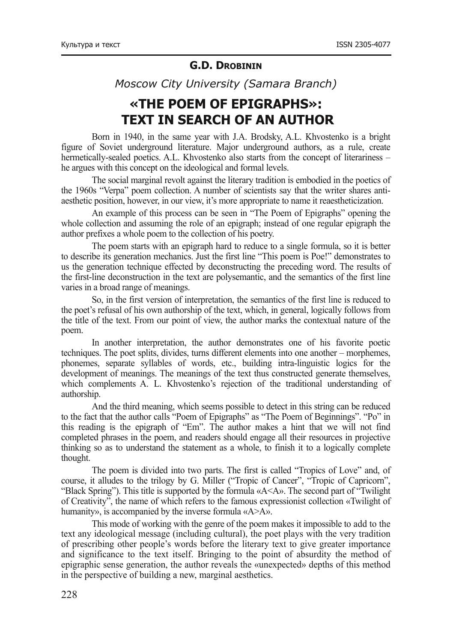#### **G.D. DROBININ**

*Moscow City University (Samara Branch)*

# **«THE POEM OF EPIGRAPHS»: TEXT IN SEARCH OF AN AUTHOR**

Born in 1940, in the same year with J.A. Brodsky, A.L. Khvostenko is a bright figure of Soviet underground literature. Major underground authors, as a rule, create hermetically-sealed poetics. A.L. Khvostenko also starts from the concept of literariness – he argues with this concept on the ideological and formal levels.

The social marginal revolt against the literary tradition is embodied in the poetics of the 1960s "Verpa" poem collection. A number of scientists say that the writer shares antiaesthetic position, however, in our view, it's more appropriate to name it reaestheticization.

An example of this process can be seen in "The Poem of Epigraphs" opening the whole collection and assuming the role of an epigraph; instead of one regular epigraph the author prefixes a whole poem to the collection of his poetry.

The poem starts with an epigraph hard to reduce to a single formula, so it is better to describe its generation mechanics. Just the first line "This poem is Poe!" demonstrates to us the generation technique effected by deconstructing the preceding word. The results of the firstline deconstruction in the text are polysemantic, and the semantics of the first line varies in a broad range of meanings.

So, in the first version of interpretation, the semantics of the first line is reduced to the poet's refusal of his own authorship of the text, which, in general, logically follows from the title of the text. From our point of view, the author marks the contextual nature of the poem.

In another interpretation, the author demonstrates one of his favorite poetic techniques. The poet splits, divides, turns different elements into one another – morphemes, phonemes, separate syllables of words, etc., building intralinguistic logics for the development of meanings. The meanings of the text thus constructed generate themselves, which complements A. L. Khvostenko's rejection of the traditional understanding of authorship.

And the third meaning, which seems possible to detect in this string can be reduced to the fact that the author calls "Poem of Epigraphs" as "The Poem of Beginnings". "Po" in this reading is the epigraph of "Em". The author makes a hint that we will not find completed phrases in the poem, and readers should engage all their resources in projective thinking so as to understand the statement as a whole, to finish it to a logically complete thought.

The poem is divided into two parts. The first is called "Tropics of Love" and, of course, it alludes to the trilogy by G. Miller ("Tropic of Cancer", "Tropic of Capricorn", "Black Spring"). This title is supported by the formula «A<A». The second part of "Twilight of Creativity", the name of which refers to the famous expressionist collection «Twilight of humanity», is accompanied by the inverse formula «A>A».

This mode of working with the genre of the poem makes it impossible to add to the text any ideological message (including cultural), the poet plays with the very tradition of prescribing other people's words before the literary text to give greater importance and significance to the text itself. Bringing to the point of absurdity the method of epigraphic sense generation, the author reveals the «unexpected» depths of this method in the perspective of building a new, marginal aesthetics.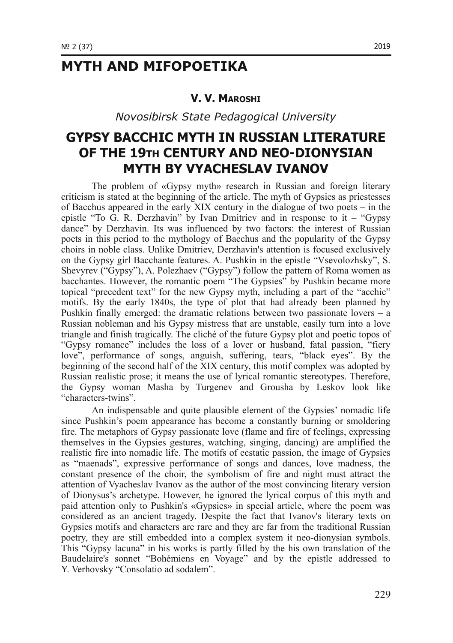## **MYTH AND MIFOPOETIKA**

#### **V. V. MAROSHI**

*Novosibirsk State Pedagogical University*

## **GYPSY BACCHIC MYTH IN RUSSIAN LITERATURE OF THE 19TH CENTURY AND NEO-DIONYSIAN MYTH BY VYACHESLAV IVANOV**

The problem of «Gypsy myth» research in Russian and foreign literary criticism is stated at the beginning of the article. The myth of Gypsies as priestesses of Bacchus appeared in the early XIX century in the dialogue of two poets – in the epistle "To G. R. Derzhavin" by Ivan Dmitriev and in response to it – "Gypsy" dance" by Derzhavin. Its was influenced by two factors: the interest of Russian poets in this period to the mythology of Bacchus and the popularity of the Gypsy choirs in noble class. Unlike Dmitriev, Derzhavin's attention is focused exclusively on the Gypsy girl Bacchante features. A. Pushkin in the epistle "Vsevolozhsky", S. Shevyrev ("Gypsy"), A. Polezhaev ("Gypsy") follow the pattern of Roma women as bacchantes. However, the romantic poem "The Gypsies" by Pushkin became more topical "precedent text" for the new Gypsy myth, including a part of the "acchic" motifs. By the early 1840s, the type of plot that had already been planned by Pushkin finally emerged: the dramatic relations between two passionate lovers – a Russian nobleman and his Gypsy mistress that are unstable, easily turn into a love triangle and finish tragically. The cliché of the future Gypsy plot and poetic topos of "Gypsy romance" includes the loss of a lover or husband, fatal passion, "fiery love", performance of songs, anguish, suffering, tears, "black eyes". By the beginning of the second half of the XIX century, this motif complex was adopted by Russian realistic prose; it means the use of lyrical romantic stereotypes. Therefore, the Gypsy woman Masha by Turgenev and Grousha by Leskov look like "characters-twins".

An indispensable and quite plausible element of the Gypsies' nomadic life since Pushkin's poem appearance has become a constantly burning or smoldering fire. The metaphors of Gypsy passionate love (flame and fire of feelings, expressing themselves in the Gypsies gestures, watching, singing, dancing) are amplified the realistic fire into nomadic life. The motifs of ecstatic passion, the image of Gypsies as "maenads", expressive performance of songs and dances, love madness, the constant presence of the choir, the symbolism of fire and night must attract the attention of Vyacheslav Ivanov as the author of the most convincing literary version of Dionysus's archetype. However, he ignored the lyrical corpus of this myth and paid attention only to Pushkin's «Gypsies» in special article, where the poem was considered as an ancient tragedy. Despite the fact that Ivanov's literary texts on Gypsies motifs and characters are rare and they are far from the traditional Russian poetry, they are still embedded into a complex system it neo-dionysian symbols. This "Gypsy lacuna" in his works is partly filled by the his own translation of the Baudelaire's sonnet "Bohémiens en Voyage" and by the еpistle addressed to Y. Verhovsky "Consolatio ad sodalem".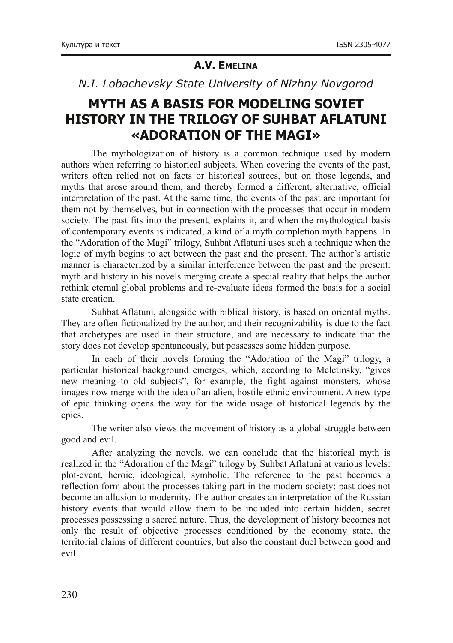### **A.V. EMELINA**

#### *N.I. Lobachevsky State University of Nizhny Novgorod*

## **MYTH AS A BASIS FOR MODELING SOVIET HISTORY IN THE TRILOGY OF SUHBAT AFLATUNI «ADORATION OF THE MAGI»**

The mythologization of history is a common technique used by modern authors when referring to historical subjects. When covering the events of the past, writers often relied not on facts or historical sources, but on those legends, and myths that arose around them, and thereby formed a different, alternative, official interpretation of the past. At the same time, the events of the past are important for them not by themselves, but in connection with the processes that occur in modern society. The past fits into the present, explains it, and when the mythological basis of contemporary events is indicated, a kind of a myth completion myth happens. In the "Adoration of the Magi" trilogy, Suhbat Aflatuni uses such a technique when the logic of myth begins to act between the past and the present. The author's artistic manner is characterized by a similar interference between the past and the present: myth and history in his novels merging create a special reality that helps the author rethink eternal global problems and reevaluate ideas formed the basis for a social state creation.

Suhbat Aflatuni, alongside with biblical history, is based on oriental myths. They are often fictionalized by the author, and their recognizability is due to the fact that archetypes are used in their structure, and are necessary to indicate that the story does not develop spontaneously, but possesses some hidden purpose.

In each of their novels forming the "Adoration of the Magi" trilogy, a particular historical background emerges, which, according to Meletinsky, "gives new meaning to old subjects", for example, the fight against monsters, whose images now merge with the idea of an alien, hostile ethnic environment. A new type of epic thinking opens the way for the wide usage of historical legends by the epics.

The writer also views the movement of history as a global struggle between good and evil.

After analyzing the novels, we can conclude that the historical myth is realized in the "Adoration of the Magi" trilogy by Suhbat Aflatuni at various levels: plot-event, heroic, ideological, symbolic. The reference to the past becomes a reflection form about the processes taking part in the modern society; past does not become an allusion to modernity. The author creates an interpretation of the Russian history events that would allow them to be included into certain hidden, secret processes possessing a sacred nature. Thus, the development of history becomes not only the result of objective processes conditioned by the economy state, the territorial claims of different countries, but also the constant duel between good and evil.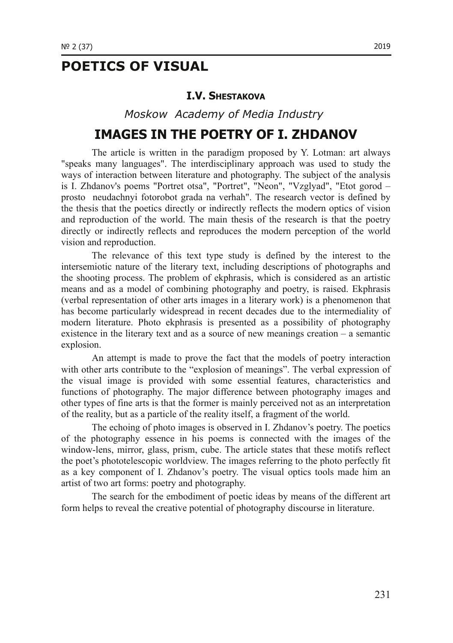# **POETICS OF VISUAL**

#### **I.V. SHESTAKOVA**

*Moskow Academy of Media Industry*

## **IMAGES IN THE POETRY OF I. ZHDANOV**

The article is written in the paradigm proposed by Y. Lotman: art always "speaks many languages". The interdisciplinary approach was used to study the ways of interaction between literature and photography. The subject of the analysis is I. Zhdanov's poems "Portret otsa", "Portret", "Neon", "Vzglyad", "Etot gorod – prosto neudachnyi fotorobot grada na verhah". The research vector is defined by the thesis that the poetics directly or indirectly reflects the modern optics of vision and reproduction of the world. The main thesis of the research is that the poetry directly or indirectly reflects and reproduces the modern perception of the world vision and reproduction.

The relevance of this text type study is defined by the interest to the intersemiotic nature of the literary text, including descriptions of photographs and the shooting process. The problem of ekphrasis, which is considered as an artistic means and as a model of combining photography and poetry, is raised. Ekphrasis (verbal representation of other arts images in a literary work) is a phenomenon that has become particularly widespread in recent decades due to the intermediality of modern literature. Photo ekphrasis is presented as a possibility of photography existence in the literary text and as a source of new meanings creation – a semantic explosion.

An attempt is made to prove the fact that the models of poetry interaction with other arts contribute to the "explosion of meanings". The verbal expression of the visual image is provided with some essential features, characteristics and functions of photography. The major difference between photography images and other types of fine arts is that the former is mainly perceived not as an interpretation of the reality, but as a particle of the reality itself, a fragment of the world.

The echoing of photo images is observed in I. Zhdanov's poetry. The poetics of the photography essence in his poems is connected with the images of the window-lens, mirror, glass, prism, cube. The article states that these motifs reflect the poet's phototelescopic worldview. The images referring to the photo perfectly fit as a key component of I. Zhdanov's poetry. The visual optics tools made him an artist of two art forms: poetry and photography.

The search for the embodiment of poetic ideas by means of the different art form helps to reveal the creative potential of photography discourse in literature.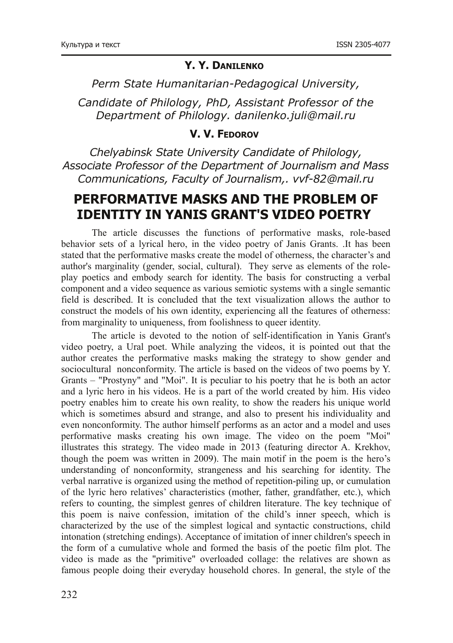#### **Y. Y. DANILENKO**

*Perm State Humanitarian-Pedagogical University,* 

*Candidate of Philology, PhD, Assistant Professor of the Department of Philology. [danilenko.juli@mail.ru](mailto:danilenko.juli@mail.ru)*

#### **V. V. FEDOROV**

*Chelyabinsk State University Candidate of Philology, Associate Professor of the Department of Journalism and Mass Communications, Faculty of Journalism,. vvf-82@mail.ru* 

## **PERFORMATIVE MASKS AND THE PROBLEM OF IDENTITY IN YANIS GRANT'S VIDEO POETRY**

The article discusses the functions of performative masks, rolebased behavior sets of a lyrical hero, in the video poetry of Janis Grants. .It has been stated that the performative masks create the model of otherness, the character's and author's marginality (gender, social, cultural). They serve as elements of the roleplay poetics and embody search for identity. The basis for constructing a verbal component and a video sequence as various semiotic systems with a single semantic field is described. It is concluded that the text visualization allows the author to construct the models of his own identity, experiencing all the features of otherness: from marginality to uniqueness, from foolishness to queer identity.

The article is devoted to the notion of self-identification in Yanis Grant's video poetry, a Ural poet. While analyzing the videos, it is pointed out that the author creates the performative masks making the strategy to show gender and sociocultural nonconformity. The article is based on the videos of two poems by Y. Grants – "Prostyny" and "Moi". It is peculiar to his poetry that he is both an actor and a lyric hero in his videos. He is a part of the world created by him. His video poetry enables him to create his own reality, to show the readers his unique world which is sometimes absurd and strange, and also to present his individuality and even nonconformity. The author himself performs as an actor and a model and uses performative masks creating his own image. The video on the poem "Moi" illustrates this strategy. The video made in 2013 (featuring director A. Krekhov, though the poem was written in 2009). The main motif in the poem is the hero's understanding of nonconformity, strangeness and his searching for identity. The verbal narrative is organized using the method of repetition-piling up, or cumulation of the lyric hero relatives' characteristics (mother, father, grandfather, etc.), which refers to counting, the simplest genres of children literature. The key technique of this poem is naive confession, imitation of the child's inner speech, which is characterized by the use of the simplest logical and syntactic constructions, child intonation (stretching endings). Acceptance of imitation of inner children's speech in the form of a cumulative whole and formed the basis of the poetic film plot. The video is made as the "primitive" overloaded collage: the relatives are shown as famous people doing their everyday household chores. In general, the style of the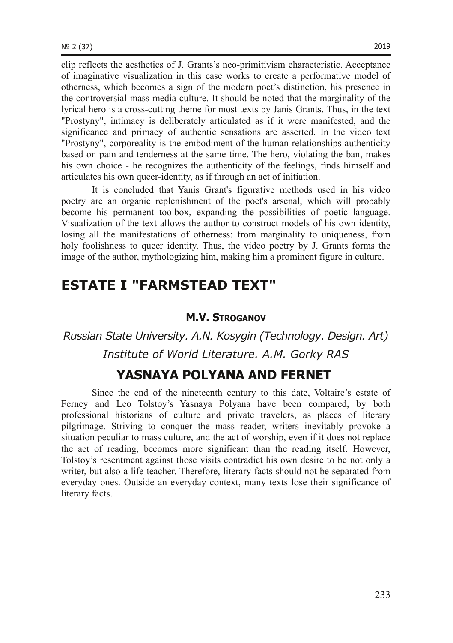clip reflects the aesthetics of J. Grants's neoprimitivism characteristic. Acceptance of imaginative visualization in this case works to create a performative model of otherness, which becomes a sign of the modern poet's distinction, his presence in the controversial mass media culture. It should be noted that the marginality of the lyrical hero is a cross-cutting theme for most texts by Janis Grants. Thus, in the text "Prostyny", intimacy is deliberately articulated as if it were manifested, and the significance and primacy of authentic sensations are asserted. In the video text "Prostyny", corporeality is the embodiment of the human relationships authenticity based on pain and tenderness at the same time. The hero, violating the ban, makes his own choice - he recognizes the authenticity of the feelings, finds himself and articulates his own queer-identity, as if through an act of initiation.

It is concluded that Yanis Grant's figurative methods used in his video poetry are an organic replenishment of the poet's arsenal, which will probably become his permanent toolbox, expanding the possibilities of poetic language. Visualization of the text allows the author to construct models of his own identity, losing all the manifestations of otherness: from marginality to uniqueness, from holy foolishness to queer identity. Thus, the video poetry by J. Grants forms the image of the author, mythologizing him, making him a prominent figure in culture.

## **ESTATE I "FARMSTEAD TEXT"**

#### **M.V. STROGANOV**

*Russian State University. A.N. Kosygin (Technology. Design. Art) Institute of World Literature. A.M. Gorky RAS*

## **YASNAYA POLYANA AND FERNET**

Since the end of the nineteenth century to this date, Voltaire's estate of Ferney and Leo Tolstoy's Yasnaya Polyana have been compared, by both professional historians of culture and private travelers, as places of literary pilgrimage. Striving to conquer the mass reader, writers inevitably provoke a situation peculiar to mass culture, and the act of worship, even if it does not replace the act of reading, becomes more significant than the reading itself. However, Tolstoy's resentment against those visits contradict his own desire to be not only a writer, but also a life teacher. Therefore, literary facts should not be separated from everyday ones. Outside an everyday context, many texts lose their significance of literary facts.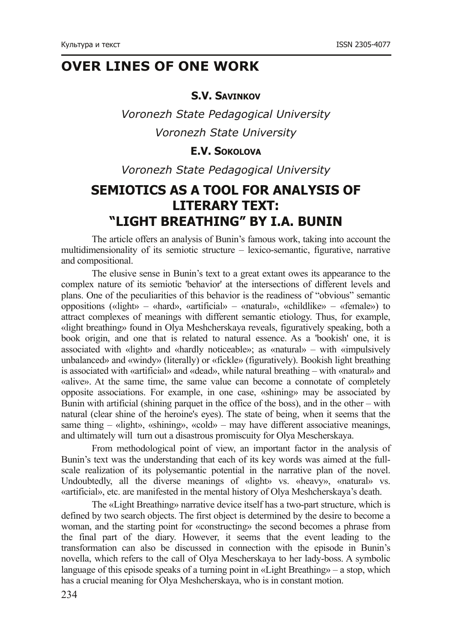# **OVER LINES OF ONE WORK**

#### **S.V. SAVINKOV**

*Voronezh State Pedagogical University Voronezh State University*

### **E.V. SOKOLOVA**

*Voronezh State Pedagogical University*

# **SEMIOTICS AS A TOOL FOR ANALYSIS OF LITERARY TEXT: "LIGHT BREATHING" BY I.А. BUNIN**

The article offers an analysis of Bunin's famous work, taking into account the multidimensionality of its semiotic structure  $-$  lexico-semantic, figurative, narrative and compositional.

The elusive sense in Bunin's text to a great extant owes its appearance to the complex nature of its semiotic 'behavior' at the intersections of different levels and plans. One of the peculiarities of this behavior is the readiness of "obvious" semantic oppositions («light» – «hard», «artificial» – «natural», «childlike» – «female») to attract complexes of meanings with different semantic etiology. Thus, for example, «light breathing» found in Olya Meshcherskaya reveals, figuratively speaking, both a book origin, and one that is related to natural essence. As a 'bookish' one, it is associated with «light» and «hardly noticeable»; as «natural» – with «impulsively unbalanced» and «windy» (literally) or «fickle» (figuratively). Bookish light breathing is associated with «artificial» and «dead», while natural breathing – with «natural» and «alive». At the same time, the same value can become a connotate of completely opposite associations. For example, in one case, «shining» may be associated by Bunin with artificial (shining parquet in the office of the boss), and in the other – with natural (clear shine of the heroine's eyes). The state of being, when it seems that the same thing – «light», «shining», «cold» – may have different associative meanings, and ultimately will turn out a disastrous promiscuity for Olya Mescherskaya.

From methodological point of view, an important factor in the analysis of Bunin's text was the understanding that each of its key words was aimed at the fullscale realization of its polysemantic potential in the narrative plan of the novel. Undoubtedly, all the diverse meanings of «light» vs. «heavy», «natural» vs. «artificial», etc. are manifested in the mental history of Olya Meshcherskaya's death.

The «Light Breathing» narrative device itself has a two-part structure, which is defined by two search objects. The first object is determined by the desire to become a woman, and the starting point for «constructing» the second becomes a phrase from the final part of the diary. However, it seems that the event leading to the transformation can also be discussed in connection with the episode in Bunin's novella, which refers to the call of Olya Mescherskaya to her lady-boss. A symbolic language of this episode speaks of a turning point in «Light Breathing» – a stop, which has a crucial meaning for Olya Meshcherskaya, who is in constant motion.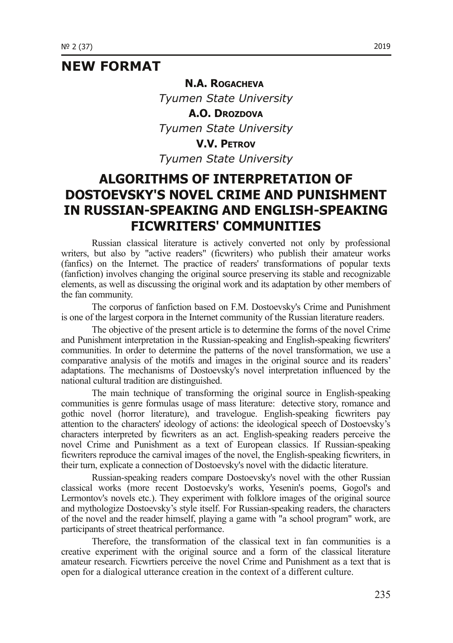## **NEW FORMAT**

*Tyumen State University* **A.O. DROZDOVA** *Tyumen State University* **V.V. PETROV** *Tyumen State University*

**N.A. ROGACHEVA**

## **ALGORITHMS OF INTERPRETATION OF DOSTOEVSKY'S NOVEL CRIME AND PUNISHMENT IN RUSSIAN-SPEAKING AND ENGLISH-SPEAKING FICWRITERS' COMMUNITIES**

Russian classical literature is actively converted not only by professional writers, but also by "active readers" (ficwriters) who publish their amateur works (fanfics) on the Internet. The practice of readers' transformations of popular texts (fanfiction) involves changing the original source preserving its stable and recognizable elements, as well as discussing the original work and its adaptation by other members of the fan community.

The corporus of fanfiction based on F.M. Dostoevsky's Crime and Punishment is one of the largest corpora in the Internet community of the Russian literature readers.

The objective of the present article is to determine the forms of the novel Crime and Punishment interpretation in the Russian-speaking and English-speaking ficwriters' communities. In order to determine the patterns of the novel transformation, we use a comparative analysis of the motifs and images in the original source and its readers' adaptations. The mechanisms of Dostoevsky's novel interpretation influenced by the national cultural tradition are distinguished.

The main technique of transforming the original source in English-speaking communities is genre formulas usage of mass literature: detective story, romance and gothic novel (horror literature), and travelogue. English-speaking ficwriters pay attention to the characters' ideology of actions: the ideological speech of Dostoevsky's characters interpreted by ficwriters as an act. English-speaking readers perceive the novel Crime and Punishment as a text of European classics. If Russian-speaking ficwriters reproduce the carnival images of the novel, the English-speaking ficwriters, in their turn, explicate a connection of Dostoevsky's novel with the didactic literature.

Russian-speaking readers compare Dostoevsky's novel with the other Russian classical works (more recent Dostoevsky's works, Yesenin's poems, Gogol's and Lermontov's novels etc.). They experiment with folklore images of the original source and mythologize Dostoevsky's style itself. For Russian-speaking readers, the characters of the novel and the reader himself, playing a game with "a school program" work, are participants of street theatrical performance.

Therefore, the transformation of the classical text in fan communities is a creative experiment with the original source and a form of the classical literature amateur research. Ficwrtiers perceive the novel Crime and Punishment as a text that is open for a dialogical utterance creation in the context of a different culture.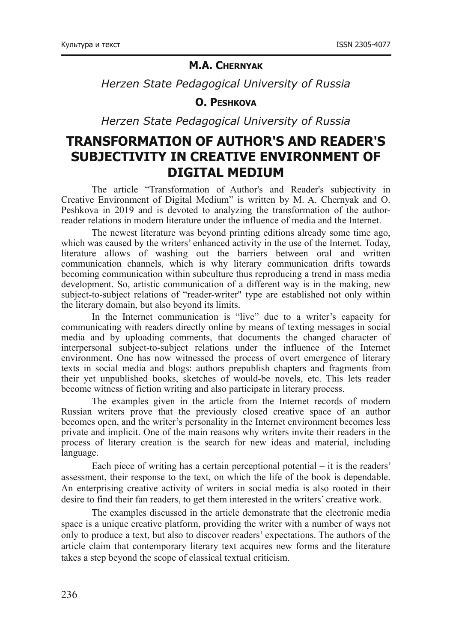#### **M.A. CHERNYAK**

*Herzen State Pedagogical University of Russia*

#### **O. PESHKOVA**

*Herzen State Pedagogical University of Russia*

## **TRANSFORMATION OF AUTHOR'S AND READER'S SUBJECTIVITY IN CREATIVE ENVIRONMENT OF DIGITAL MEDIUM**

The article "Transformation of Author's and Reader's subjectivity in Creative Environment of Digital Medium" is written by M. A. Chernyak and O. Peshkova in 2019 and is devoted to analyzing the transformation of the authorreader relations in modern literature under the influence of media and the Internet.

The newest literature was beyond printing editions already some time ago, which was caused by the writers' enhanced activity in the use of the Internet. Today, literature allows of washing out the barriers between oral and written communication channels, which is why literary communication drifts towards becoming communication within subculture thus reproducing a trend in mass media development. So, artistic communication of a different way is in the making, new subject-to-subject relations of "reader-writer" type are established not only within the literary domain, but also beyond its limits.

In the Internet communication is "live" due to a writer's capacity for communicating with readers directly online by means of texting messages in social media and by uploading comments, that documents the changed character of interpersonal subject-to-subject relations under the influence of the Internet environment. One has now witnessed the process of overt emergence of literary texts in social media and blogs: authors prepublish chapters and fragments from their yet unpublished books, sketches of would-be novels, etc. This lets reader become witness of fiction writing and also participate in literary process.

The examples given in the article from the Internet records of modern Russian writers prove that the previously closed creative space of an author becomes open, and the writer's personality in the Internet environment becomes less private and implicit. One of the main reasons why writers invite their readers in the process of literary creation is the search for new ideas and material, including language.

Each piece of writing has a certain perceptional potential – it is the readers' assessment, their response to the text, on which the life of the book is dependable. An enterprising creative activity of writers in social media is also rooted in their desire to find their fan readers, to get them interested in the writers' creative work.

The examples discussed in the article demonstrate that the electronic media space is a unique creative platform, providing the writer with a number of ways not only to produce a text, but also to discover readers' expectations. The authors of the article claim that contemporary literary text acquires new forms and the literature takes a step beyond the scope of classical textual criticism.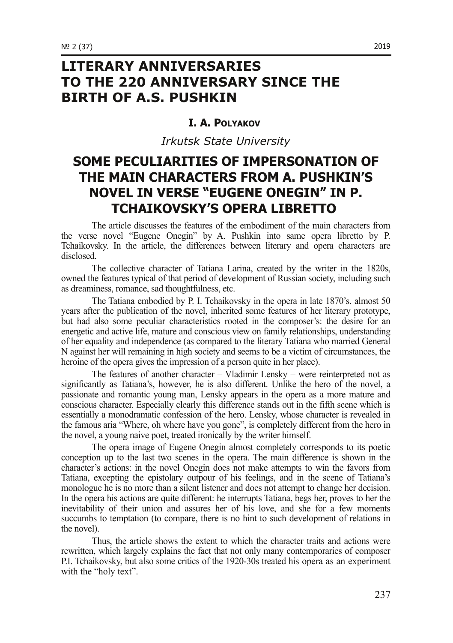# **LITERARY ANNIVERSARIES TO THE 220 ANNIVERSARY SINCE THE BIRTH OF A.S. PUSHKIN**

#### **I. A. POLYAKOV**

*Irkutsk State University*

## **SOME PECULIARITIES OF IMPERSONATION OF THE MAIN CHARACTERS FROM A. PUSHKIN'S NOVEL IN VERSE "EUGENE ONEGIN" IN P. TCHAIKOVSKY'S OPERA LIBRETTO**

The article discusses the features of the embodiment of the main characters from the verse novel "Eugene Onegin" by A. Pushkin into same opera libretto by P. Tchaikovsky. In the article, the differences between literary and opera characters are disclosed.

The collective character of Tatiana Larina, created by the writer in the 1820s, owned the features typical of that period of development of Russian society, including such as dreaminess, romance, sad thoughtfulness, etc.

The Tatiana embodied by P. I. Tchaikovsky in the opera in late 1870's. almost 50 years after the publication of the novel, inherited some features of her literary prototype, but had also some peculiar characteristics rooted in the composer's: the desire for an energetic and active life, mature and conscious view on family relationships, understanding of her equality and independence (as compared to the literary Tatiana who married General N against her will remaining in high society and seems to be a victim of circumstances, the heroine of the opera gives the impression of a person quite in her place).

The features of another character – Vladimir Lensky – were reinterpreted not as significantly as Tatiana's, however, he is also different. Unlike the hero of the novel, a passionate and romantic young man, Lensky appears in the opera as a more mature and conscious character. Especially clearly this difference stands out in the fifth scene which is essentially a monodramatic confession of the hero. Lensky, whose character is revealed in the famous aria "Where, oh where have you gone", is completely different from the hero in the novel, a young naive poet, treated ironically by the writer himself.

The opera image of Eugene Onegin almost completely corresponds to its poetic conception up to the last two scenes in the opera. The main difference is shown in the character's actions: in the novel Onegin does not make attempts to win the favors from Tatiana, excepting the epistolary outpour of his feelings, and in the scene of Tatiana's monologue he is no more than a silent listener and does not attempt to change her decision. In the opera his actions are quite different: he interrupts Tatiana, begs her, proves to her the inevitability of their union and assures her of his love, and she for a few moments succumbs to temptation (to compare, there is no hint to such development of relations in the novel).

Thus, the article shows the extent to which the character traits and actions were rewritten, which largely explains the fact that not only many contemporaries of composer P.I. Tchaikovsky, but also some critics of the 1920-30s treated his opera as an experiment with the "holy text".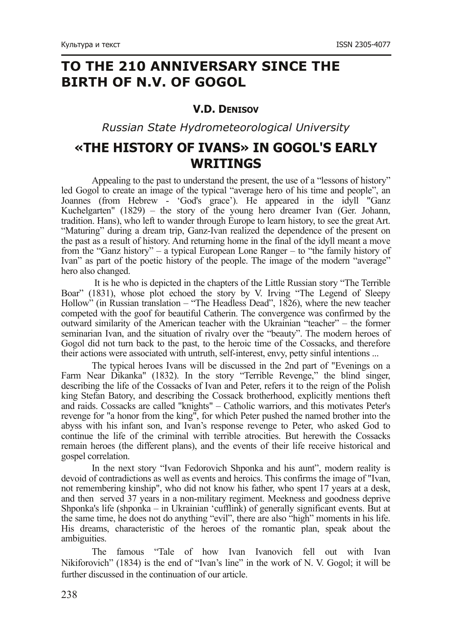# **TO THE 210 ANNIVERSARY SINCE THE BIRTH OF N.V. OF GOGOL**

#### **V.D. DENISOV**

*Russian State Hydrometeorological University*

## **«THE HISTORY OF IVANS» IN GOGOL'S EARLY WRITINGS**

Appealing to the past to understand the present, the use of a "lessons of history" led Gogol to create an image of the typical "average hero of his time and people", an Joannes (from Hebrew 'God's grace'). He appeared in the idyll "Ganz Kuchelgarten" (1829) – the story of the young hero dreamer Ivan (Ger. Johann, tradition. Hans), who left to wander through Europe to learn history, to see the great Art. "Maturing" during a dream trip, Ganz-Ivan realized the dependence of the present on the past as a result of history. And returning home in the final of the idyll meant a move from the "Ganz history" – a typical European Lone Ranger – to "the family history of Ivan" as part of the poetic history of the people. The image of the modern "average" hero also changed.

It is he who is depicted in the chapters of the Little Russian story "The Terrible Boar" (1831), whose plot echoed the story by V. Irving "The Legend of Sleepy Hollow" (in Russian translation – "The Headless Dead", 1826), where the new teacher competed with the goof for beautiful Catherin. The convergence was confirmed by the outward similarity of the American teacher with the Ukrainian "teacher" – the former seminarian Ivan, and the situation of rivalry over the "beauty". The modern heroes of Gogol did not turn back to the past, to the heroic time of the Cossacks, and therefore their actions were associated with untruth, self-interest, envy, petty sinful intentions ...

The typical heroes Ivans will be discussed in the 2nd part of "Evenings on a Farm Near Dikanka" (1832). In the story "Terrible Revenge," the blind singer, describing the life of the Cossacks of Ivan and Peter, refers it to the reign of the Polish king Stefan Batory, and describing the Cossack brotherhood, explicitly mentions theft and raids. Cossacks are called "knights" – Catholic warriors, and this motivates Peter's revenge for "a honor from the king", for which Peter pushed the named brother into the abyss with his infant son, and Ivan's response revenge to Peter, who asked God to continue the life of the criminal with terrible atrocities. But herewith the Cossacks remain heroes (the different plans), and the events of their life receive historical and gospel correlation.

In the next story "Ivan Fedorovich Shponka and his aunt", modern reality is devoid of contradictions as well as events and heroics. This confirms the image of "Ivan, not remembering kinship", who did not know his father, who spent 17 years at a desk, and then served 37 years in a non-military regiment. Meekness and goodness deprive Shponka's life (shponka – in Ukrainian 'cufflink) of generally significant events. But at the same time, he does not do anything "evil", there are also "high" moments in his life. His dreams, characteristic of the heroes of the romantic plan, speak about the ambiguities.

The famous "Tale of how Ivan Ivanovich fell out with Ivan Nikiforovich" (1834) is the end of "Ivan's line" in the work of N. V. Gogol; it will be further discussed in the continuation of our article.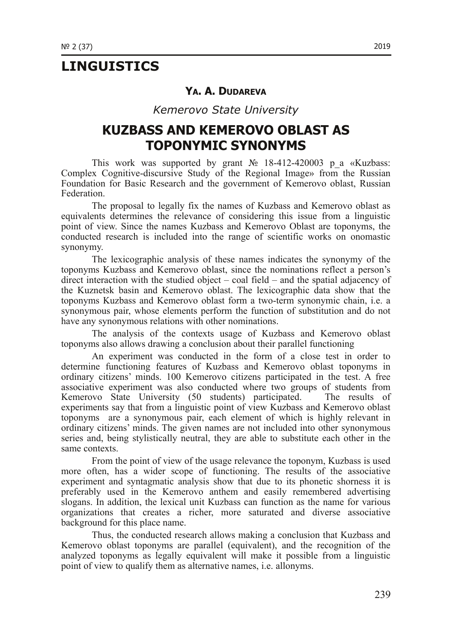## **LINGUISTICS**

#### **YA. A. DUDAREVA**

*Kemerovo State University*

## **KUZBASS AND KEMEROVO OBLAST AS TOPONYMIC SYNONYMS**

This work was supported by grant  $\mathbb{N}$  18-412-420003 p a «Kuzbass: Complex Cognitive-discursive Study of the Regional Image» from the Russian Foundation for Basic Research and the government of Kemerovo oblast, Russian Federation.

The proposal to legally fix the names of Kuzbass and Kemerovo oblast as equivalents determines the relevance of considering this issue from a linguistic point of view. Since the names Kuzbass and Kemerovo Oblast are toponyms, the conducted research is included into the range of scientific works on onomastic synonymy.

The lexicographic analysis of these names indicates the synonymy of the toponyms Kuzbass and Kemerovo oblast, since the nominations reflect a person's direct interaction with the studied object – coal field – and the spatial adjacency of the Kuznetsk basin and Kemerovo oblast. The lexicographic data show that the toponyms Kuzbass and Kemerovo oblast form a twoterm synonymic chain, i.e. a synonymous pair, whose elements perform the function of substitution and do not have any synonymous relations with other nominations.

The analysis of the contexts usage of Kuzbass and Kemerovo oblast toponyms also allows drawing a conclusion about their parallel functioning

An experiment was conducted in the form of a close test in order to determine functioning features of Kuzbass and Kemerovo oblast toponyms in ordinary citizens' minds. 100 Kemerovo citizens participated in the test. A free associative experiment was also conducted where two groups of students from Kemerovo State University (50 students) participated. The results of experiments say that from a linguistic point of view Kuzbass and Kemerovo oblast toponyms are a synonymous pair, each element of which is highly relevant in ordinary citizens' minds. The given names are not included into other synonymous series and, being stylistically neutral, they are able to substitute each other in the same contexts.

From the point of view of the usage relevance the toponym, Kuzbass is used more often, has a wider scope of functioning. The results of the associative experiment and syntagmatic analysis show that due to its phonetic shorness it is preferably used in the Kemerovo anthem and easily remembered advertising slogans. In addition, the lexical unit Kuzbass can function as the name for various organizations that creates a richer, more saturated and diverse associative background for this place name.

Thus, the conducted research allows making a conclusion that Kuzbass and Kemerovo oblast toponyms are parallel (equivalent), and the recognition of the analyzed toponyms as legally equivalent will make it possible from a linguistic point of view to qualify them as alternative names, i.e. allonyms.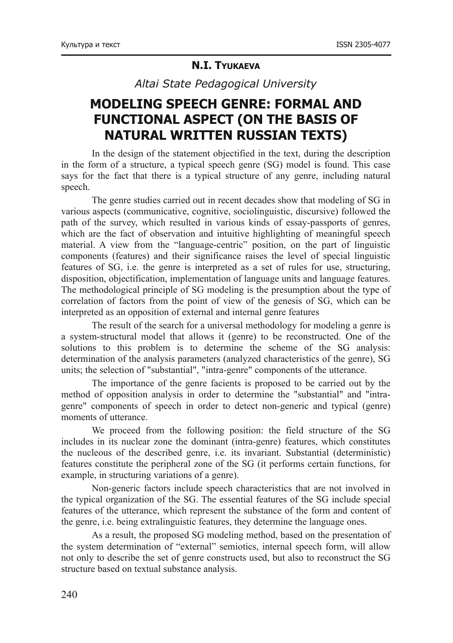#### **N.I. TYUKAEVA**

*Altai State Pedagogical University*

# **MODELING SPEECH GENRE: FORMAL AND FUNCTIONAL ASPECT (ON THE BASIS OF NATURAL WRITTEN RUSSIAN TEXTS)**

In the design of the statement objectified in the text, during the description in the form of a structure, a typical speech genre (SG) model is found. This case says for the fact that there is a typical structure of any genre, including natural speech.

The genre studies carried out in recent decades show that modeling of SG in various aspects (communicative, cognitive, sociolinguistic, discursive) followed the path of the survey, which resulted in various kinds of essay-passports of genres. which are the fact of observation and intuitive highlighting of meaningful speech material. A view from the "language-centric" position, on the part of linguistic components (features) and their significance raises the level of special linguistic features of SG, i.e. the genre is interpreted as a set of rules for use, structuring, disposition, objectification, implementation of language units and language features. The methodological principle of SG modeling is the presumption about the type of correlation of factors from the point of view of the genesis of SG, which can be interpreted as an opposition of external and internal genre features

The result of the search for a universal methodology for modeling a genre is a systemstructural model that allows it (genre) to be reconstructed. One of the solutions to this problem is to determine the scheme of the SG analysis: determination of the analysis parameters (analyzed characteristics of the genre), SG units; the selection of "substantial", "intra-genre" components of the utterance.

The importance of the genre facients is proposed to be carried out by the method of opposition analysis in order to determine the "substantial" and "intragenre" components of speech in order to detect non-generic and typical (genre) moments of utterance.

We proceed from the following position: the field structure of the SG includes in its nuclear zone the dominant (intra-genre) features, which constitutes the nucleous of the described genre, i.e. its invariant. Substantial (deterministic) features constitute the peripheral zone of the SG (it performs certain functions, for example, in structuring variations of a genre).

Non-generic factors include speech characteristics that are not involved in the typical organization of the SG. The essential features of the SG include special features of the utterance, which represent the substance of the form and content of the genre, i.e. being extralinguistic features, they determine the language ones.

As a result, the proposed SG modeling method, based on the presentation of the system determination of "external" semiotics, internal speech form, will allow not only to describe the set of genre constructs used, but also to reconstruct the SG structure based on textual substance analysis.